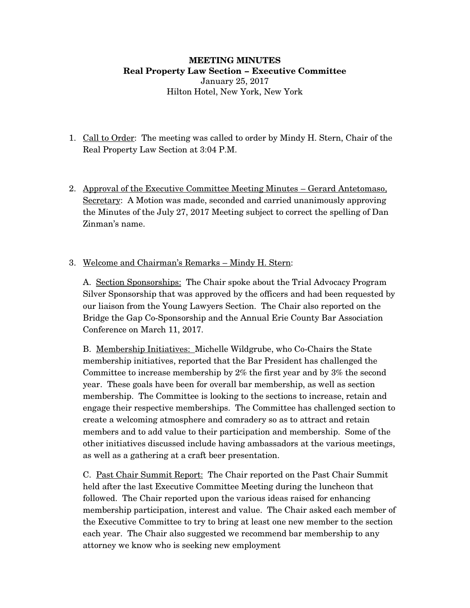#### **MEETING MINUTES Real Property Law Section – Executive Committee** January 25, 2017 Hilton Hotel, New York, New York

- 1. Call to Order: The meeting was called to order by Mindy H. Stern, Chair of the Real Property Law Section at 3:04 P.M.
- 2. Approval of the Executive Committee Meeting Minutes Gerard Antetomaso, Secretary: A Motion was made, seconded and carried unanimously approving the Minutes of the July 27, 2017 Meeting subject to correct the spelling of Dan Zinman's name.
- 3. Welcome and Chairman's Remarks Mindy H. Stern:

A. Section Sponsorships: The Chair spoke about the Trial Advocacy Program Silver Sponsorship that was approved by the officers and had been requested by our liaison from the Young Lawyers Section. The Chair also reported on the Bridge the Gap Co-Sponsorship and the Annual Erie County Bar Association Conference on March 11, 2017.

B. Membership Initiatives: Michelle Wildgrube, who Co-Chairs the State membership initiatives, reported that the Bar President has challenged the Committee to increase membership by 2% the first year and by 3% the second year. These goals have been for overall bar membership, as well as section membership. The Committee is looking to the sections to increase, retain and engage their respective memberships. The Committee has challenged section to create a welcoming atmosphere and comradery so as to attract and retain members and to add value to their participation and membership. Some of the other initiatives discussed include having ambassadors at the various meetings, as well as a gathering at a craft beer presentation.

C. Past Chair Summit Report: The Chair reported on the Past Chair Summit held after the last Executive Committee Meeting during the luncheon that followed. The Chair reported upon the various ideas raised for enhancing membership participation, interest and value. The Chair asked each member of the Executive Committee to try to bring at least one new member to the section each year. The Chair also suggested we recommend bar membership to any attorney we know who is seeking new employment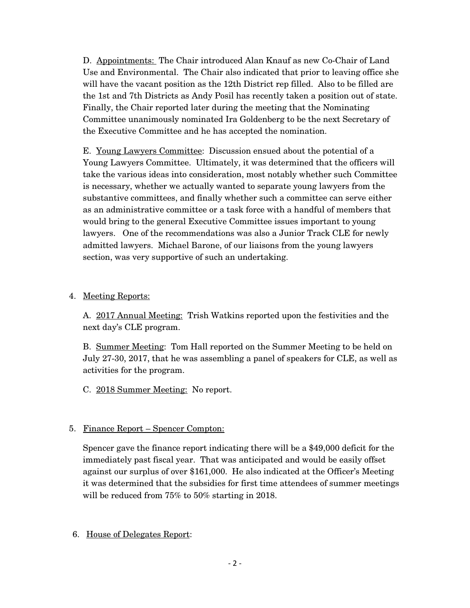D. Appointments: The Chair introduced Alan Knauf as new Co-Chair of Land Use and Environmental. The Chair also indicated that prior to leaving office she will have the vacant position as the 12th District rep filled. Also to be filled are the 1st and 7th Districts as Andy Posil has recently taken a position out of state. Finally, the Chair reported later during the meeting that the Nominating Committee unanimously nominated Ira Goldenberg to be the next Secretary of the Executive Committee and he has accepted the nomination.

E. Young Lawyers Committee: Discussion ensued about the potential of a Young Lawyers Committee. Ultimately, it was determined that the officers will take the various ideas into consideration, most notably whether such Committee is necessary, whether we actually wanted to separate young lawyers from the substantive committees, and finally whether such a committee can serve either as an administrative committee or a task force with a handful of members that would bring to the general Executive Committee issues important to young lawyers. One of the recommendations was also a Junior Track CLE for newly admitted lawyers. Michael Barone, of our liaisons from the young lawyers section, was very supportive of such an undertaking.

## 4. Meeting Reports:

A. 2017 Annual Meeting: Trish Watkins reported upon the festivities and the next day's CLE program.

B. Summer Meeting: Tom Hall reported on the Summer Meeting to be held on July 27-30, 2017, that he was assembling a panel of speakers for CLE, as well as activities for the program.

C. 2018 Summer Meeting: No report.

## 5. Finance Report – Spencer Compton:

Spencer gave the finance report indicating there will be a \$49,000 deficit for the immediately past fiscal year. That was anticipated and would be easily offset against our surplus of over \$161,000. He also indicated at the Officer's Meeting it was determined that the subsidies for first time attendees of summer meetings will be reduced from 75% to 50% starting in 2018.

#### 6. House of Delegates Report: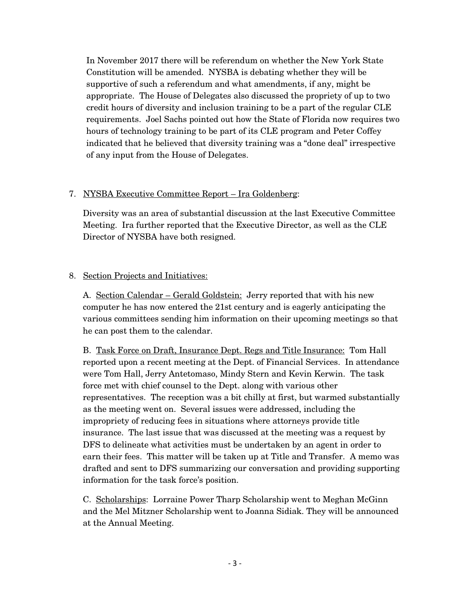In November 2017 there will be referendum on whether the New York State Constitution will be amended. NYSBA is debating whether they will be supportive of such a referendum and what amendments, if any, might be appropriate. The House of Delegates also discussed the propriety of up to two credit hours of diversity and inclusion training to be a part of the regular CLE requirements. Joel Sachs pointed out how the State of Florida now requires two hours of technology training to be part of its CLE program and Peter Coffey indicated that he believed that diversity training was a "done deal" irrespective of any input from the House of Delegates.

## 7. NYSBA Executive Committee Report – Ira Goldenberg:

Diversity was an area of substantial discussion at the last Executive Committee Meeting. Ira further reported that the Executive Director, as well as the CLE Director of NYSBA have both resigned.

## 8. Section Projects and Initiatives:

A. Section Calendar – Gerald Goldstein: Jerry reported that with his new computer he has now entered the 21st century and is eagerly anticipating the various committees sending him information on their upcoming meetings so that he can post them to the calendar.

B. Task Force on Draft, Insurance Dept. Regs and Title Insurance: Tom Hall reported upon a recent meeting at the Dept. of Financial Services. In attendance were Tom Hall, Jerry Antetomaso, Mindy Stern and Kevin Kerwin. The task force met with chief counsel to the Dept. along with various other representatives. The reception was a bit chilly at first, but warmed substantially as the meeting went on. Several issues were addressed, including the impropriety of reducing fees in situations where attorneys provide title insurance. The last issue that was discussed at the meeting was a request by DFS to delineate what activities must be undertaken by an agent in order to earn their fees. This matter will be taken up at Title and Transfer. A memo was drafted and sent to DFS summarizing our conversation and providing supporting information for the task force's position.

C. Scholarships: Lorraine Power Tharp Scholarship went to Meghan McGinn and the Mel Mitzner Scholarship went to Joanna Sidiak. They will be announced at the Annual Meeting.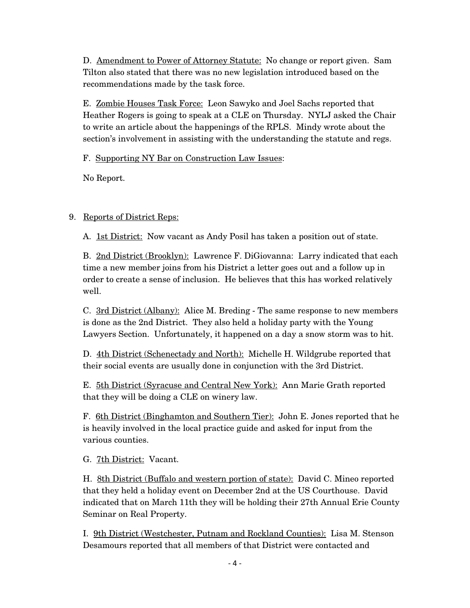D. Amendment to Power of Attorney Statute: No change or report given. Sam Tilton also stated that there was no new legislation introduced based on the recommendations made by the task force.

E. Zombie Houses Task Force: Leon Sawyko and Joel Sachs reported that Heather Rogers is going to speak at a CLE on Thursday. NYLJ asked the Chair to write an article about the happenings of the RPLS. Mindy wrote about the section's involvement in assisting with the understanding the statute and regs.

F. Supporting NY Bar on Construction Law Issues:

No Report.

# 9. Reports of District Reps:

A. 1st District: Now vacant as Andy Posil has taken a position out of state.

B. 2nd District (Brooklyn): Lawrence F. DiGiovanna: Larry indicated that each time a new member joins from his District a letter goes out and a follow up in order to create a sense of inclusion. He believes that this has worked relatively well.

C. 3rd District (Albany): Alice M. Breding - The same response to new members is done as the 2nd District. They also held a holiday party with the Young Lawyers Section. Unfortunately, it happened on a day a snow storm was to hit.

D. 4th District (Schenectady and North): Michelle H. Wildgrube reported that their social events are usually done in conjunction with the 3rd District.

E. 5th District (Syracuse and Central New York): Ann Marie Grath reported that they will be doing a CLE on winery law.

F. 6th District (Binghamton and Southern Tier): John E. Jones reported that he is heavily involved in the local practice guide and asked for input from the various counties.

G. 7th District: Vacant.

H. 8th District (Buffalo and western portion of state): David C. Mineo reported that they held a holiday event on December 2nd at the US Courthouse. David indicated that on March 11th they will be holding their 27th Annual Erie County Seminar on Real Property.

I. 9th District (Westchester, Putnam and Rockland Counties): Lisa M. Stenson Desamours reported that all members of that District were contacted and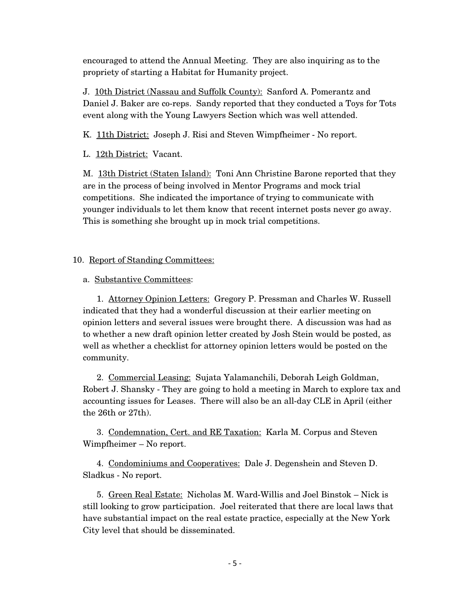encouraged to attend the Annual Meeting. They are also inquiring as to the propriety of starting a Habitat for Humanity project.

J. 10th District (Nassau and Suffolk County): Sanford A. Pomerantz and Daniel J. Baker are co-reps. Sandy reported that they conducted a Toys for Tots event along with the Young Lawyers Section which was well attended.

K. 11th District: Joseph J. Risi and Steven Wimpfheimer - No report.

L. 12th District: Vacant.

M. 13th District (Staten Island): Toni Ann Christine Barone reported that they are in the process of being involved in Mentor Programs and mock trial competitions. She indicated the importance of trying to communicate with younger individuals to let them know that recent internet posts never go away. This is something she brought up in mock trial competitions.

## 10. Report of Standing Committees:

## a. Substantive Committees:

1. Attorney Opinion Letters: Gregory P. Pressman and Charles W. Russell indicated that they had a wonderful discussion at their earlier meeting on opinion letters and several issues were brought there. A discussion was had as to whether a new draft opinion letter created by Josh Stein would be posted, as well as whether a checklist for attorney opinion letters would be posted on the community.

2. Commercial Leasing: Sujata Yalamanchili, Deborah Leigh Goldman, Robert J. Shansky - They are going to hold a meeting in March to explore tax and accounting issues for Leases. There will also be an all-day CLE in April (either the 26th or 27th).

3. Condemnation, Cert. and RE Taxation: Karla M. Corpus and Steven Wimpfheimer – No report.

4. Condominiums and Cooperatives: Dale J. Degenshein and Steven D. Sladkus - No report.

5. Green Real Estate: Nicholas M. Ward-Willis and Joel Binstok – Nick is still looking to grow participation. Joel reiterated that there are local laws that have substantial impact on the real estate practice, especially at the New York City level that should be disseminated.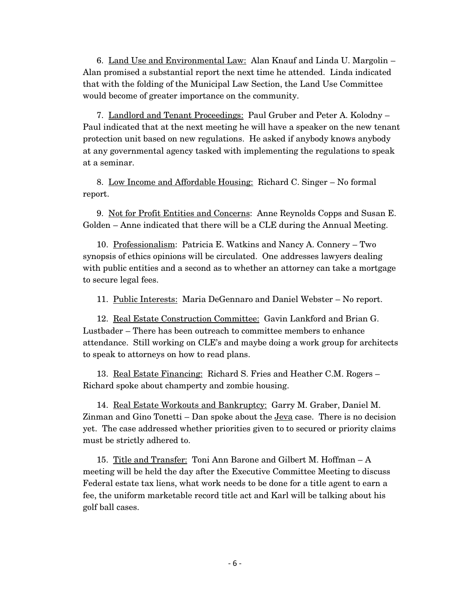6. Land Use and Environmental Law: Alan Knauf and Linda U. Margolin – Alan promised a substantial report the next time he attended. Linda indicated that with the folding of the Municipal Law Section, the Land Use Committee would become of greater importance on the community.

7. Landlord and Tenant Proceedings: Paul Gruber and Peter A. Kolodny – Paul indicated that at the next meeting he will have a speaker on the new tenant protection unit based on new regulations. He asked if anybody knows anybody at any governmental agency tasked with implementing the regulations to speak at a seminar.

8. Low Income and Affordable Housing: Richard C. Singer – No formal report.

9. Not for Profit Entities and Concerns: Anne Reynolds Copps and Susan E. Golden – Anne indicated that there will be a CLE during the Annual Meeting.

10. Professionalism: Patricia E. Watkins and Nancy A. Connery – Two synopsis of ethics opinions will be circulated. One addresses lawyers dealing with public entities and a second as to whether an attorney can take a mortgage to secure legal fees.

11. Public Interests: Maria DeGennaro and Daniel Webster - No report.

12. Real Estate Construction Committee: Gavin Lankford and Brian G. Lustbader – There has been outreach to committee members to enhance attendance. Still working on CLE's and maybe doing a work group for architects to speak to attorneys on how to read plans.

13. Real Estate Financing: Richard S. Fries and Heather C.M. Rogers – Richard spoke about champerty and zombie housing.

14. Real Estate Workouts and Bankruptcy: Garry M. Graber, Daniel M. Zinman and Gino Tonetti – Dan spoke about the  $Jeva$  case. There is no decision</u> yet. The case addressed whether priorities given to to secured or priority claims must be strictly adhered to.

15. Title and Transfer: Toni Ann Barone and Gilbert M. Hoffman – A meeting will be held the day after the Executive Committee Meeting to discuss Federal estate tax liens, what work needs to be done for a title agent to earn a fee, the uniform marketable record title act and Karl will be talking about his golf ball cases.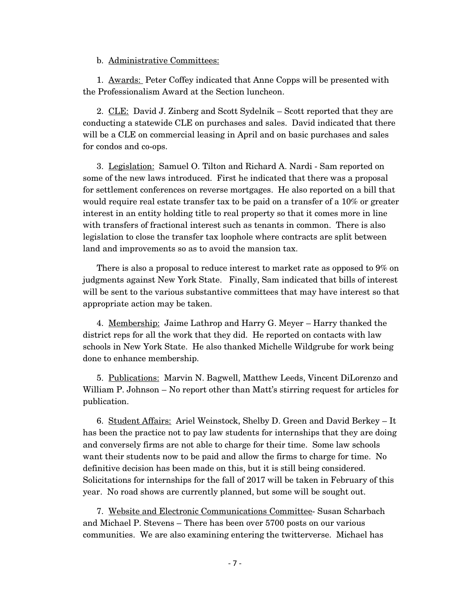b. Administrative Committees:

1. Awards: Peter Coffey indicated that Anne Copps will be presented with the Professionalism Award at the Section luncheon.

2. CLE: David J. Zinberg and Scott Sydelnik – Scott reported that they are conducting a statewide CLE on purchases and sales. David indicated that there will be a CLE on commercial leasing in April and on basic purchases and sales for condos and co-ops.

3. Legislation: Samuel O. Tilton and Richard A. Nardi - Sam reported on some of the new laws introduced. First he indicated that there was a proposal for settlement conferences on reverse mortgages. He also reported on a bill that would require real estate transfer tax to be paid on a transfer of a 10% or greater interest in an entity holding title to real property so that it comes more in line with transfers of fractional interest such as tenants in common. There is also legislation to close the transfer tax loophole where contracts are split between land and improvements so as to avoid the mansion tax.

There is also a proposal to reduce interest to market rate as opposed to 9% on judgments against New York State. Finally, Sam indicated that bills of interest will be sent to the various substantive committees that may have interest so that appropriate action may be taken.

4. Membership: Jaime Lathrop and Harry G. Meyer – Harry thanked the district reps for all the work that they did. He reported on contacts with law schools in New York State. He also thanked Michelle Wildgrube for work being done to enhance membership.

5. Publications: Marvin N. Bagwell, Matthew Leeds, Vincent DiLorenzo and William P. Johnson – No report other than Matt's stirring request for articles for publication.

6. Student Affairs: Ariel Weinstock, Shelby D. Green and David Berkey – It has been the practice not to pay law students for internships that they are doing and conversely firms are not able to charge for their time. Some law schools want their students now to be paid and allow the firms to charge for time. No definitive decision has been made on this, but it is still being considered. Solicitations for internships for the fall of 2017 will be taken in February of this year. No road shows are currently planned, but some will be sought out.

7. Website and Electronic Communications Committee- Susan Scharbach and Michael P. Stevens – There has been over 5700 posts on our various communities. We are also examining entering the twitterverse. Michael has